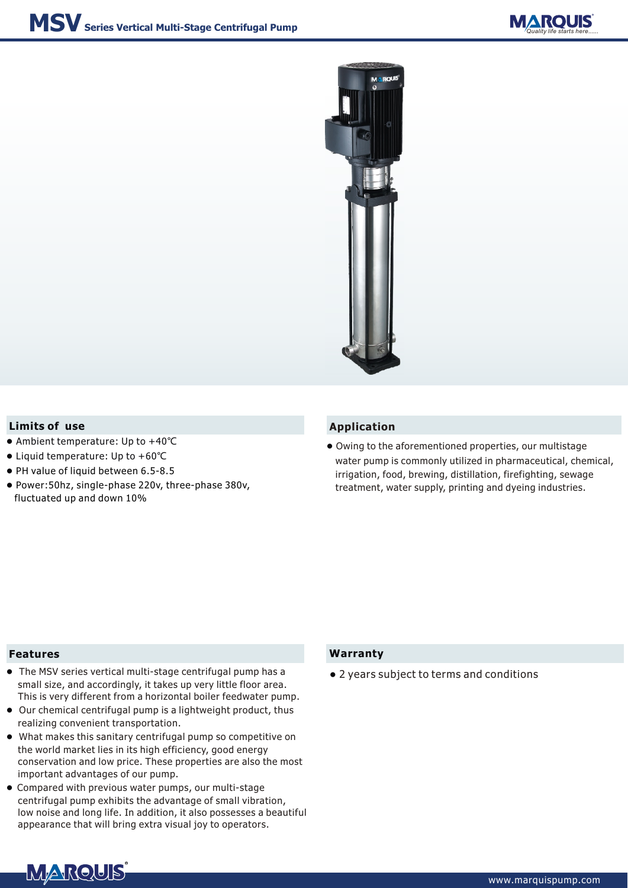



## **Limits of** use **Application**

- Ambient temperature: Up to +40℃
- Liquid temperature: Up to +60℃
- PH value of liquid between 6.5-8.5
- Power:50hz, single-phase 220v, three-phase 380v, fluctuated up and down 10%

Owing to the aforementioned properties, our multistage ● water pump is commonly utilized in pharmaceutical, chemical, irrigation, food, brewing, distillation, firefighting, sewage treatment, water supply, printing and dyeing industries.

### **Features**

- The MSV series vertical multi-stage centrifugal pump has a small size, and accordingly, it takes up very little floor area. This is very different from a horizontal boiler feedwater pump.
- Our chemical centrifugal pump is a lightweight product, thus realizing convenient transportation.
- What makes this sanitary centrifugal pump so competitive on the world market lies in its high efficiency, good energy conservation and low price. These properties are also the most important advantages of our pump.
- Compared with previous water pumps, our multi-stage centrifugal pump exhibits the advantage of small vibration, low noise and long life. In addition, it also possesses a beautiful appearance that will bring extra visual joy to operators.

## **Warranty**

● 2 years subject to terms and conditions

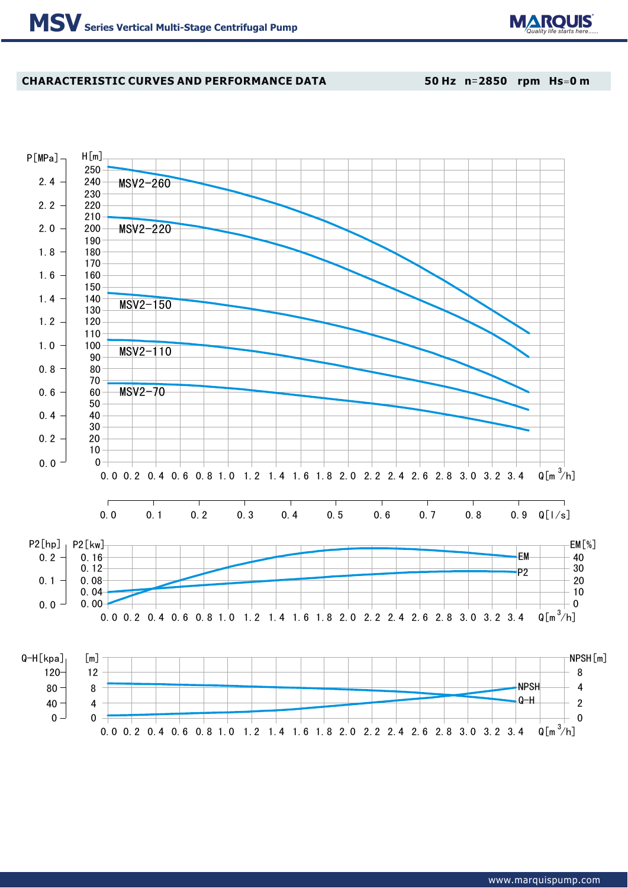

# **CHARACTERISTIC CURVES AND PERFORMANCE DATA**

**50 Hz n**=**2850 rpm Hs**=**0 m**

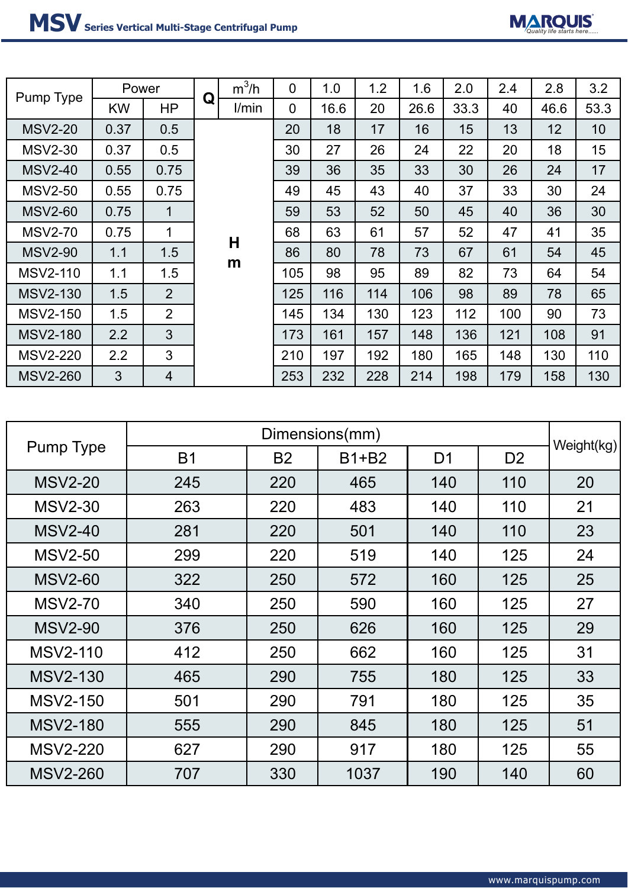

| Pump Type       | Dimensions(mm) |           |         |                |                |            |  |
|-----------------|----------------|-----------|---------|----------------|----------------|------------|--|
|                 | <b>B1</b>      | <b>B2</b> | $B1+B2$ | D <sub>1</sub> | D <sub>2</sub> | Weight(kg) |  |
| <b>MSV2-20</b>  | 245            | 220       | 465     | 140            | 110            | 20         |  |
| <b>MSV2-30</b>  | 263            | 220       | 483     | 140            | 110            | 21         |  |
| <b>MSV2-40</b>  | 281            | 220       | 501     | 140            | 110            | 23         |  |
| <b>MSV2-50</b>  | 299            | 220       | 519     | 140            | 125            | 24         |  |
| <b>MSV2-60</b>  | 322            | 250       | 572     | 160            | 125            | 25         |  |
| <b>MSV2-70</b>  | 340            | 250       | 590     | 160            | 125            | 27         |  |
| <b>MSV2-90</b>  | 376            | 250       | 626     | 160            | 125            | 29         |  |
| <b>MSV2-110</b> | 412            | 250       | 662     | 160            | 125            | 31         |  |
| <b>MSV2-130</b> | 465            | 290       | 755     | 180            | 125            | 33         |  |
| <b>MSV2-150</b> | 501            | 290       | 791     | 180            | 125            | 35         |  |
| <b>MSV2-180</b> | 555            | 290       | 845     | 180            | 125            | 51         |  |
| <b>MSV2-220</b> | 627            | 290       | 917     | 180            | 125            | 55         |  |
| <b>MSV2-260</b> | 707            | 330       | 1037    | 190            | 140            | 60         |  |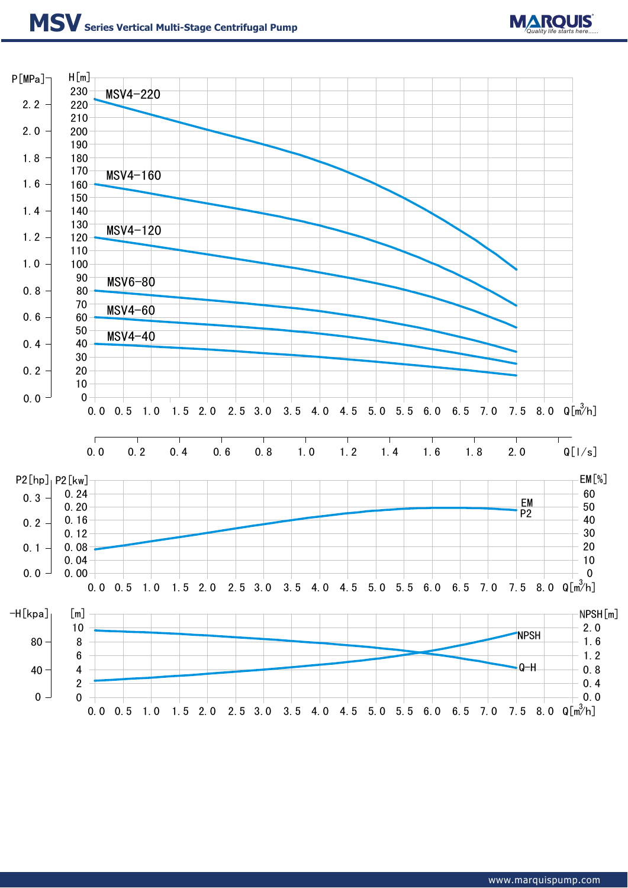